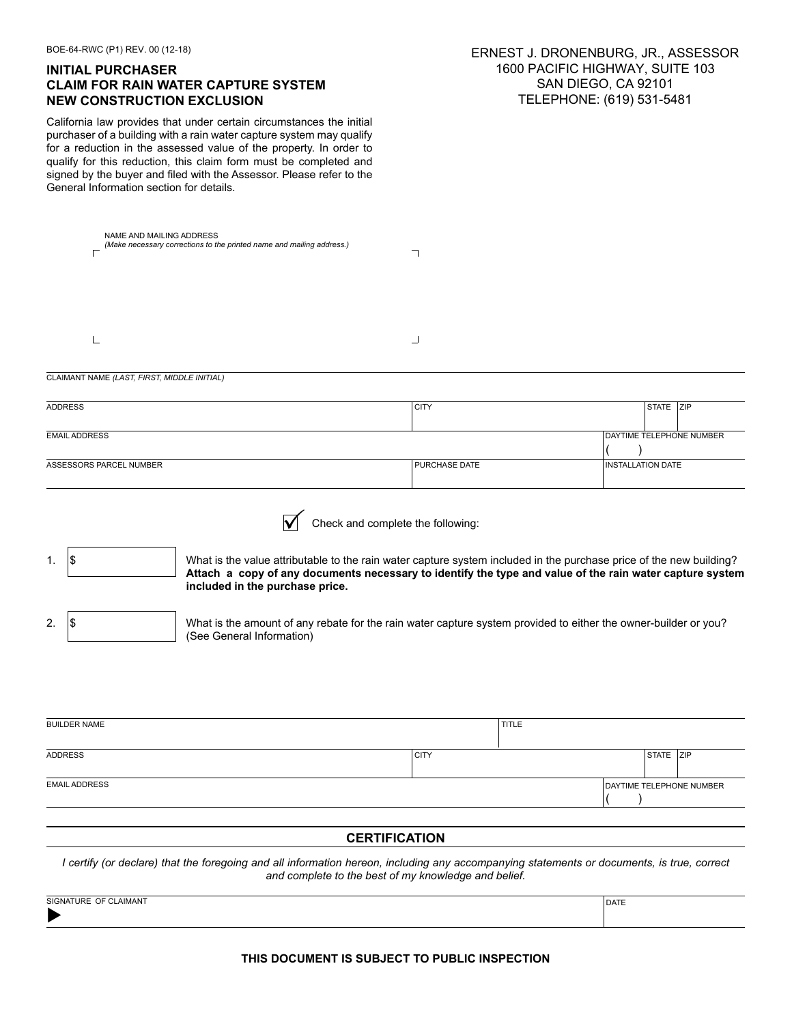| BOE-64-RWC (P1) REV. 00 (12-18)<br><b>INITIAL PURCHASER</b><br><b>CLAIM FOR RAIN WATER CAPTURE SYSTEM</b><br><b>NEW CONSTRUCTION EXCLUSION</b><br>California law provides that under certain circumstances the initial<br>purchaser of a building with a rain water capture system may qualify<br>for a reduction in the assessed value of the property. In order to<br>qualify for this reduction, this claim form must be completed and<br>signed by the buyer and filed with the Assessor. Please refer to the<br>General Information section for details. | ERNEST J. DRONENBURG, JR., ASSESSOR<br>1600 PACIFIC HIGHWAY, SUITE 103<br>SAN DIEGO, CA 92101<br>TELEPHONE: (619) 531-5481 |              |  |                          |                          |  |
|---------------------------------------------------------------------------------------------------------------------------------------------------------------------------------------------------------------------------------------------------------------------------------------------------------------------------------------------------------------------------------------------------------------------------------------------------------------------------------------------------------------------------------------------------------------|----------------------------------------------------------------------------------------------------------------------------|--------------|--|--------------------------|--------------------------|--|
| NAME AND MAILING ADDRESS<br>(Make necessary corrections to the printed name and mailing address.)                                                                                                                                                                                                                                                                                                                                                                                                                                                             | ┐                                                                                                                          |              |  |                          |                          |  |
|                                                                                                                                                                                                                                                                                                                                                                                                                                                                                                                                                               | ┘                                                                                                                          |              |  |                          |                          |  |
| CLAIMANT NAME (LAST, FIRST, MIDDLE INITIAL)                                                                                                                                                                                                                                                                                                                                                                                                                                                                                                                   |                                                                                                                            |              |  |                          |                          |  |
| <b>ADDRESS</b>                                                                                                                                                                                                                                                                                                                                                                                                                                                                                                                                                | <b>CITY</b>                                                                                                                |              |  | STATE ZIP                |                          |  |
| <b>EMAIL ADDRESS</b>                                                                                                                                                                                                                                                                                                                                                                                                                                                                                                                                          |                                                                                                                            |              |  |                          | DAYTIME TELEPHONE NUMBER |  |
| ASSESSORS PARCEL NUMBER                                                                                                                                                                                                                                                                                                                                                                                                                                                                                                                                       | PURCHASE DATE                                                                                                              |              |  | <b>INSTALLATION DATE</b> |                          |  |
| Check and complete the following:<br>1\$<br>What is the value attributable to the rain water capture system included in the purchase price of the new building?<br>1.<br>Attach a copy of any documents necessary to identify the type and value of the rain water capture system<br>included in the purchase price.<br>\$<br>2.<br>What is the amount of any rebate for the rain water capture system provided to either the owner-builder or you?<br>(See General Information)                                                                              |                                                                                                                            |              |  |                          |                          |  |
| <b>BUILDER NAME</b>                                                                                                                                                                                                                                                                                                                                                                                                                                                                                                                                           |                                                                                                                            | <b>TITLE</b> |  |                          |                          |  |
| <b>ADDRESS</b>                                                                                                                                                                                                                                                                                                                                                                                                                                                                                                                                                | <b>CITY</b>                                                                                                                |              |  | STATE ZIP                |                          |  |
| <b>EMAIL ADDRESS</b>                                                                                                                                                                                                                                                                                                                                                                                                                                                                                                                                          |                                                                                                                            |              |  |                          | DAYTIME TELEPHONE NUMBER |  |
| <b>CERTIFICATION</b>                                                                                                                                                                                                                                                                                                                                                                                                                                                                                                                                          |                                                                                                                            |              |  |                          |                          |  |
| I certify (or declare) that the foregoing and all information hereon, including any accompanying statements or documents, is true, correct<br>and complete to the best of my knowledge and belief.                                                                                                                                                                                                                                                                                                                                                            |                                                                                                                            |              |  |                          |                          |  |

| SIGNATURE OF CLAIMANT | DATE |
|-----------------------|------|
| Þ                     |      |